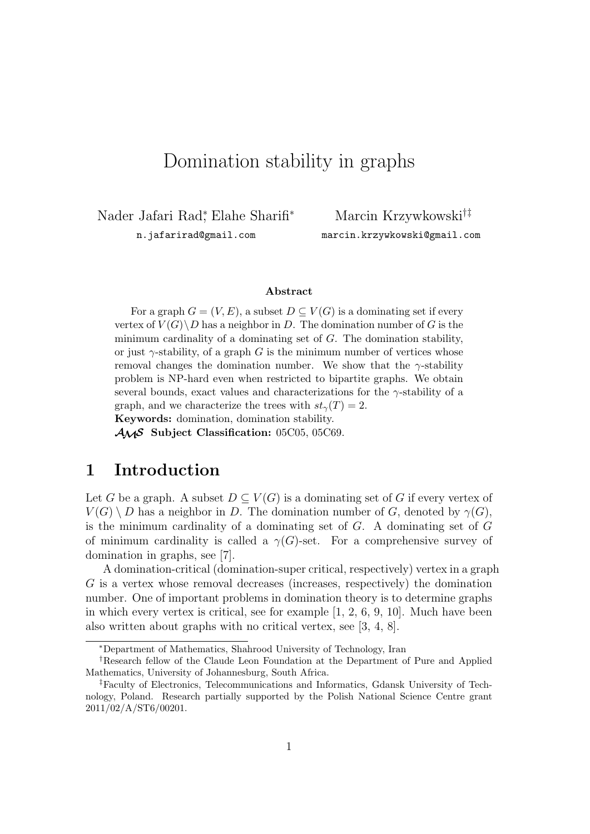# Domination stability in graphs

Nader Jafari Rad*<sup>∗</sup>* , Elahe Sharifi*<sup>∗</sup>*

n.jafarirad@gmail.com

Marcin Krzywkowski*†‡* marcin.krzywkowski@gmail.com

#### **Abstract**

For a graph  $G = (V, E)$ , a subset  $D \subset V(G)$  is a dominating set if every vertex of  $V(G) \backslash D$  has a neighbor in *D*. The domination number of *G* is the minimum cardinality of a dominating set of *G*. The domination stability, or just  $\gamma$ -stability, of a graph *G* is the minimum number of vertices whose removal changes the domination number. We show that the *γ*-stability problem is NP-hard even when restricted to bipartite graphs. We obtain several bounds, exact values and characterizations for the *γ*-stability of a graph, and we characterize the trees with  $st<sub>γ</sub>(T) = 2$ . **Keywords:** domination, domination stability.

*AMS* **Subject Classification:** 05C05, 05C69.

## **1 Introduction**

Let *G* be a graph. A subset  $D \subseteq V(G)$  is a dominating set of *G* if every vertex of  $V(G) \setminus D$  has a neighbor in *D*. The domination number of *G*, denoted by  $\gamma(G)$ , is the minimum cardinality of a dominating set of *G*. A dominating set of *G* of minimum cardinality is called a  $\gamma(G)$ -set. For a comprehensive survey of domination in graphs, see [7].

A domination-critical (domination-super critical, respectively) vertex in a graph *G* is a vertex whose removal decreases (increases, respectively) the domination number. One of important problems in domination theory is to determine graphs in which every vertex is critical, see for example  $[1, 2, 6, 9, 10]$ . Much have been also written about graphs with no critical vertex, see [3, 4, 8].

*<sup>∗</sup>*Department of Mathematics, Shahrood University of Technology, Iran

*<sup>†</sup>*Research fellow of the Claude Leon Foundation at the Department of Pure and Applied Mathematics, University of Johannesburg, South Africa.

*<sup>‡</sup>*Faculty of Electronics, Telecommunications and Informatics, Gdansk University of Technology, Poland. Research partially supported by the Polish National Science Centre grant 2011/02/A/ST6/00201.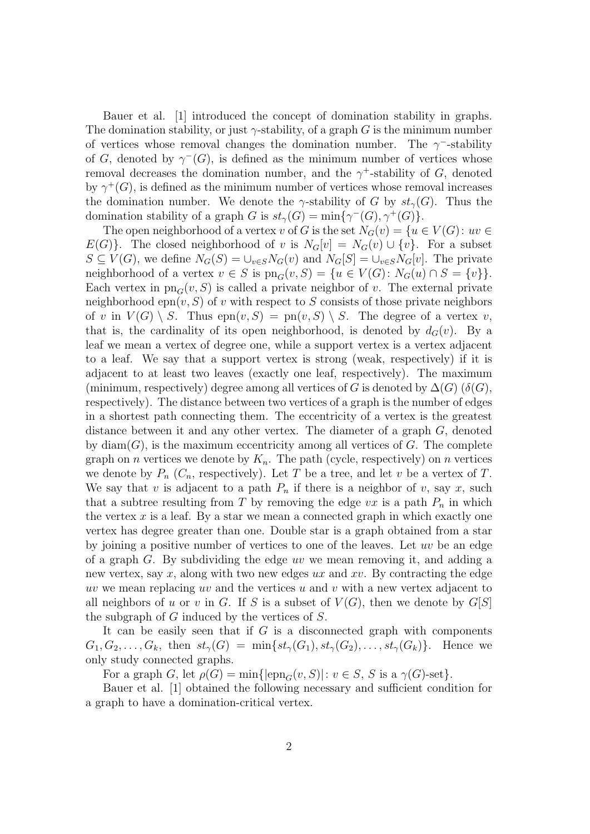Bauer et al. [1] introduced the concept of domination stability in graphs. The domination stability, or just  $\gamma$ -stability, of a graph *G* is the minimum number of vertices whose removal changes the domination number. The  $\gamma$ <sup>-</sup>-stability of *G*, denoted by  $\gamma^{-}(G)$ , is defined as the minimum number of vertices whose removal decreases the domination number, and the  $\gamma^+$ -stability of *G*, denoted by  $\gamma^+(G)$ , is defined as the minimum number of vertices whose removal increases the domination number. We denote the  $\gamma$ -stability of *G* by  $st_{\gamma}(G)$ . Thus the domination stability of a graph *G* is  $st_{\gamma}(G) = \min\{\gamma^{-}(G), \gamma^{+}(G)\}.$ 

The open neighborhood of a vertex *v* of *G* is the set  $N_G(v) = \{u \in V(G) : uv \in$  $E(G)$ }. The closed neighborhood of *v* is  $N_G[v] = N_G(v) \cup \{v\}$ . For a subset  $S \subseteq V(G)$ , we define  $N_G(S) = \bigcup_{v \in S} N_G(v)$  and  $N_G[S] = \bigcup_{v \in S} N_G[v]$ . The private neighborhood of a vertex  $v \in S$  is  $\text{pn}_G(v, S) = \{u \in V(G): N_G(u) \cap S = \{v\}\}.$ Each vertex in  $\text{pn}_G(v, S)$  is called a private neighbor of *v*. The external private neighborhood  $epn(v, S)$  of *v* with respect to *S* consists of those private neighbors of *v* in  $V(G) \setminus S$ . Thus  $epn(v, S) = pn(v, S) \setminus S$ . The degree of a vertex *v*, that is, the cardinality of its open neighborhood, is denoted by  $d_G(v)$ . By a leaf we mean a vertex of degree one, while a support vertex is a vertex adjacent to a leaf. We say that a support vertex is strong (weak, respectively) if it is adjacent to at least two leaves (exactly one leaf, respectively). The maximum (minimum, respectively) degree among all vertices of *G* is denoted by  $\Delta(G)$  ( $\delta(G)$ ), respectively). The distance between two vertices of a graph is the number of edges in a shortest path connecting them. The eccentricity of a vertex is the greatest distance between it and any other vertex. The diameter of a graph *G*, denoted by  $diam(G)$ , is the maximum eccentricity among all vertices of  $G$ . The complete graph on *n* vertices we denote by  $K_n$ . The path (cycle, respectively) on *n* vertices we denote by  $P_n$  ( $C_n$ , respectively). Let *T* be a tree, and let *v* be a vertex of *T*. We say that *v* is adjacent to a path  $P_n$  if there is a neighbor of *v*, say *x*, such that a subtree resulting from *T* by removing the edge  $vx$  is a path  $P_n$  in which the vertex  $x$  is a leaf. By a star we mean a connected graph in which exactly one vertex has degree greater than one. Double star is a graph obtained from a star by joining a positive number of vertices to one of the leaves. Let *uv* be an edge of a graph *G*. By subdividing the edge *uv* we mean removing it, and adding a new vertex, say *x*, along with two new edges *ux* and *xv*. By contracting the edge *uv* we mean replacing *uv* and the vertices *u* and *v* with a new vertex adjacent to all neighbors of *u* or *v* in *G*. If *S* is a subset of  $V(G)$ , then we denote by  $G[S]$ the subgraph of *G* induced by the vertices of *S*.

It can be easily seen that if *G* is a disconnected graph with components  $G_1, G_2, \ldots, G_k$ , then  $st_\gamma(G) = \min\{st_\gamma(G_1), st_\gamma(G_2), \ldots, st_\gamma(G_k)\}\$ . Hence we only study connected graphs.

For a graph *G*, let  $\rho(G) = \min\{|\text{epn}_{G}(v, S)| : v \in S, S \text{ is a } \gamma(G)\text{-set}\}.$ 

Bauer et al. [1] obtained the following necessary and sufficient condition for a graph to have a domination-critical vertex.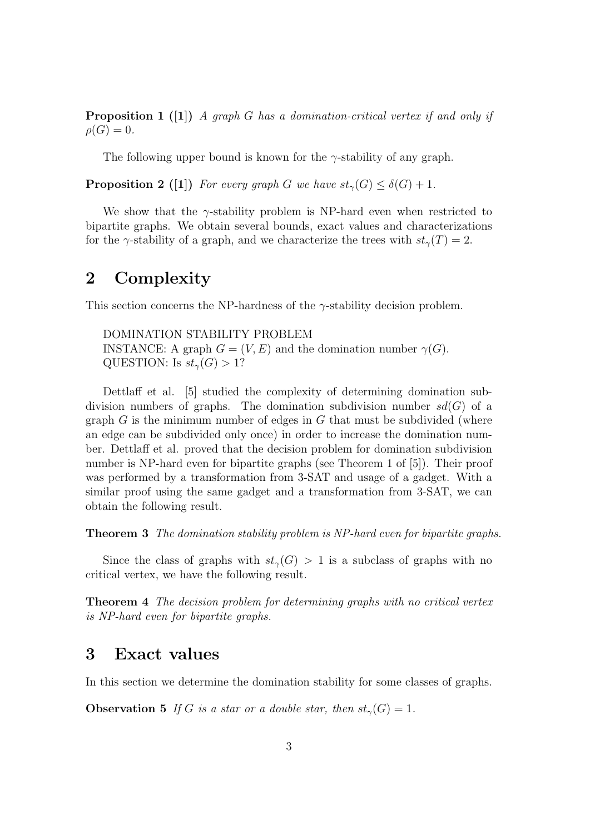**Proposition 1 ([1])** *A graph G has a domination-critical vertex if and only if*  $\rho(G) = 0$ .

The following upper bound is known for the *γ*-stability of any graph.

**Proposition 2** ([1]) *For every graph G we have*  $st_{\gamma}(G) \leq \delta(G) + 1$ *.* 

We show that the  $\gamma$ -stability problem is NP-hard even when restricted to bipartite graphs. We obtain several bounds, exact values and characterizations for the *γ*-stability of a graph, and we characterize the trees with  $st_\gamma(T) = 2$ .

## **2 Complexity**

This section concerns the NP-hardness of the *γ*-stability decision problem.

DOMINATION STABILITY PROBLEM INSTANCE: A graph  $G = (V, E)$  and the domination number  $\gamma(G)$ . QUESTION: Is  $st_\gamma(G) > 1$ ?

Dettlaff et al. [5] studied the complexity of determining domination subdivision numbers of graphs. The domination subdivision number  $sd(G)$  of a graph *G* is the minimum number of edges in *G* that must be subdivided (where an edge can be subdivided only once) in order to increase the domination number. Dettlaff et al. proved that the decision problem for domination subdivision number is NP-hard even for bipartite graphs (see Theorem 1 of [5]). Their proof was performed by a transformation from 3-SAT and usage of a gadget. With a similar proof using the same gadget and a transformation from 3-SAT, we can obtain the following result.

**Theorem 3** *The domination stability problem is NP-hard even for bipartite graphs.*

Since the class of graphs with  $st<sub>γ</sub>(G) > 1$  is a subclass of graphs with no critical vertex, we have the following result.

**Theorem 4** *The decision problem for determining graphs with no critical vertex is NP-hard even for bipartite graphs.*

### **3 Exact values**

In this section we determine the domination stability for some classes of graphs.

**Observation 5** *If G is a star or a double star, then*  $st_{\gamma}(G) = 1$ *.*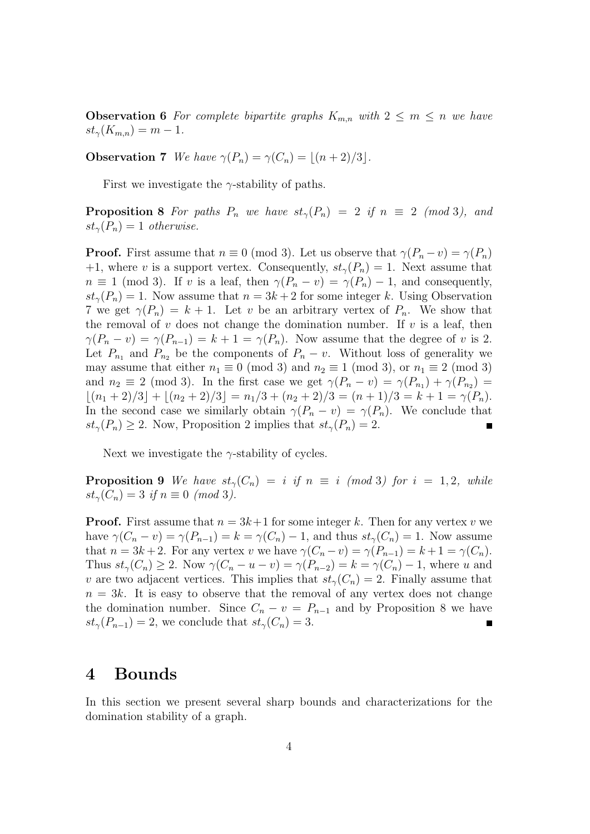**Observation 6** For complete bipartite graphs  $K_{m,n}$  with  $2 \leq m \leq n$  we have  $st_{\gamma}(K_{m,n}) = m - 1$ .

**Observation 7** *We have*  $\gamma(P_n) = \gamma(C_n) = |(n+2)/3|$ *.* 

First we investigate the *γ*-stability of paths.

**Proposition 8** *For paths*  $P_n$  *we have*  $st_\gamma(P_n) = 2$  *if*  $n \equiv 2 \pmod{3}$ , and  $st_{\gamma}(P_n) = 1$  *otherwise.* 

**Proof.** First assume that  $n \equiv 0 \pmod{3}$ . Let us observe that  $\gamma(P_n - v) = \gamma(P_n)$ +1, where *v* is a support vertex. Consequently,  $st_{\gamma}(P_n) = 1$ . Next assume that  $n \equiv 1 \pmod{3}$ . If *v* is a leaf, then  $\gamma(P_n - v) = \gamma(P_n) - 1$ , and consequently,  $st_{\gamma}(P_n) = 1$ . Now assume that  $n = 3k + 2$  for some integer *k*. Using Observation 7 we get  $\gamma(P_n) = k + 1$ . Let *v* be an arbitrary vertex of  $P_n$ . We show that the removal of  $v$  does not change the domination number. If  $v$  is a leaf, then  $\gamma(P_n - v) = \gamma(P_{n-1}) = k + 1 = \gamma(P_n)$ . Now assume that the degree of *v* is 2. Let  $P_{n_1}$  and  $P_{n_2}$  be the components of  $P_n - v$ . Without loss of generality we may assume that either  $n_1 \equiv 0 \pmod{3}$  and  $n_2 \equiv 1 \pmod{3}$ , or  $n_1 \equiv 2 \pmod{3}$ and  $n_2 \equiv 2 \pmod{3}$ . In the first case we get  $\gamma(P_n - v) = \gamma(P_{n_1}) + \gamma(P_{n_2}) =$  $|\left(n_1 + 2\right)/3| + |\left(n_2 + 2\right)/3| = n_1/3 + (n_2 + 2)/3 = (n + 1)/3 = k + 1 = \gamma(P_n).$ In the second case we similarly obtain  $\gamma(P_n - v) = \gamma(P_n)$ . We conclude that  $st_{\gamma}(P_n) \geq 2$ . Now, Proposition 2 implies that  $st_{\gamma}(P_n) = 2$ .

Next we investigate the  $\gamma$ -stability of cycles.

**Proposition 9** We have  $st_\gamma(C_n) = i$  if  $n \equiv i \pmod{3}$  for  $i = 1, 2$ , while  $st_\gamma(C_n) = 3$  *if*  $n \equiv 0 \pmod{3}$ .

**Proof.** First assume that  $n = 3k+1$  for some integer k. Then for any vertex v we have  $\gamma(C_n - v) = \gamma(P_{n-1}) = k = \gamma(C_n) - 1$ , and thus  $st_\gamma(C_n) = 1$ . Now assume that  $n = 3k + 2$ . For any vertex *v* we have  $\gamma(C_n - v) = \gamma(P_{n-1}) = k + 1 = \gamma(C_n)$ . Thus  $st_{\gamma}(C_n) \geq 2$ . Now  $\gamma(C_n - u - v) = \gamma(P_{n-2}) = k = \gamma(C_n) - 1$ , where u and *v* are two adjacent vertices. This implies that  $st<sub>γ</sub>(C<sub>n</sub>) = 2$ . Finally assume that  $n = 3k$ . It is easy to observe that the removal of any vertex does not change the domination number. Since  $C_n - v = P_{n-1}$  and by Proposition 8 we have  $st_{\gamma}(P_{n-1}) = 2$ , we conclude that  $st_{\gamma}(C_n) = 3$ .

### **4 Bounds**

In this section we present several sharp bounds and characterizations for the domination stability of a graph.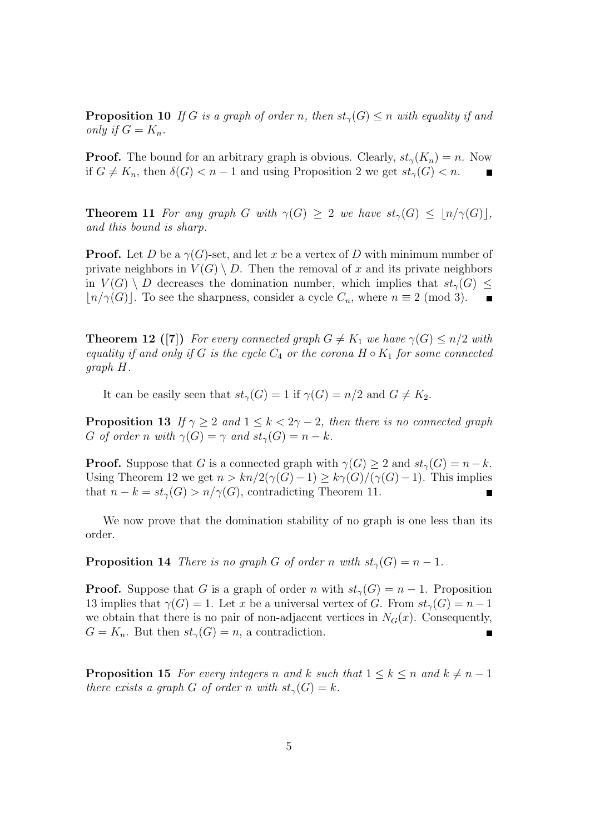**Proposition 10** *If G is a graph of order n*, then  $st_{\gamma}(G) \leq n$  *with equality if and only if*  $G = K_n$ *.* 

**Proof.** The bound for an arbitrary graph is obvious. Clearly,  $st_\gamma(K_n) = n$ . Now if  $G \neq K_n$ , then  $\delta(G) < n-1$  and using Proposition 2 we get  $st_\gamma(G) < n$ .

**Theorem 11** *For any graph G with*  $\gamma(G) > 2$  *we have*  $st_{\gamma}(G) < |n/\gamma(G)|$ , *and this bound is sharp.*

**Proof.** Let *D* be a  $\gamma(G)$ -set, and let *x* be a vertex of *D* with minimum number of private neighbors in  $V(G) \setminus D$ . Then the removal of x and its private neighbors in  $V(G) \setminus D$  decreases the domination number, which implies that  $st_{\gamma}(G) \leq$  $\lfloor n/\gamma(G) \rfloor$ . To see the sharpness, consider a cycle  $C_n$ , where  $n \equiv 2 \pmod{3}$ .  $\begin{array}{c} \hline \end{array}$ 

**Theorem 12 ([7])** For every connected graph  $G \neq K_1$  we have  $\gamma(G) \leq n/2$  with *equality if and only if*  $G$  *is the cycle*  $C_4$  *or the corona*  $H \circ K_1$  *for some connected graph H.*

It can be easily seen that  $st_{\gamma}(G) = 1$  if  $\gamma(G) = n/2$  and  $G \neq K_2$ .

**Proposition 13** *If*  $\gamma \geq 2$  *and*  $1 \leq k < 2\gamma - 2$ *, then there is no connected graph G of order n with*  $\gamma(G) = \gamma$  *and*  $st_{\gamma}(G) = n - k$ *.* 

**Proof.** Suppose that *G* is a connected graph with  $\gamma(G) \geq 2$  and  $st_{\gamma}(G) = n - k$ . Using Theorem 12 we get  $n > kn/2(\gamma(G)-1) \geq k\gamma(G)/(\gamma(G)-1)$ . This implies that  $n - k = st_\gamma(G) > n/\gamma(G)$ , contradicting Theorem 11. П

We now prove that the domination stability of no graph is one less than its order.

**Proposition 14** *There is no graph G of order n with*  $st_\gamma(G) = n - 1$ *.* 

**Proof.** Suppose that *G* is a graph of order *n* with  $st_\gamma(G) = n - 1$ . Proposition 13 implies that  $\gamma(G) = 1$ . Let *x* be a universal vertex of *G*. From  $st_{\gamma}(G) = n - 1$ we obtain that there is no pair of non-adjacent vertices in  $N_G(x)$ . Consequently,  $G = K_n$ . But then  $st_\gamma(G) = n$ , a contradiction.  $\blacksquare$ 

**Proposition 15** *For every integers n* and *k* such that  $1 \leq k \leq n$  and  $k \neq n-1$ *there exists a graph G of order n with*  $st_{\gamma}(G) = k$ *.*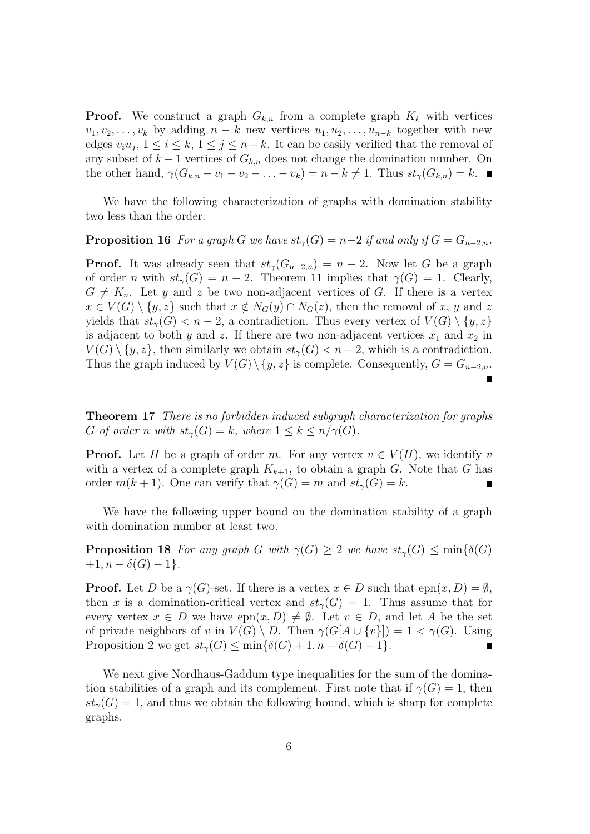**Proof.** We construct a graph  $G_{k,n}$  from a complete graph  $K_k$  with vertices  $v_1, v_2, \ldots, v_k$  by adding  $n - k$  new vertices  $u_1, u_2, \ldots, u_{n-k}$  together with new edges  $v_i u_j$ ,  $1 \leq i \leq k$ ,  $1 \leq j \leq n-k$ . It can be easily verified that the removal of any subset of  $k-1$  vertices of  $G_{k,n}$  does not change the domination number. On the other hand,  $\gamma(G_{k,n}-v_1-v_2-\ldots-v_k)=n-k\neq 1$ . Thus  $st_{\gamma}(G_{k,n})=k$ .

We have the following characterization of graphs with domination stability two less than the order.

### **Proposition 16** *For a graph G we have*  $st_{\gamma}(G) = n-2$  *if and only if*  $G = G_{n-2,n}$ *.*

**Proof.** It was already seen that  $st_\gamma(G_{n-2,n}) = n-2$ . Now let *G* be a graph of order *n* with  $st_\gamma(G) = n - 2$ . Theorem 11 implies that  $\gamma(G) = 1$ . Clearly,  $G \neq K_n$ . Let *y* and *z* be two non-adjacent vertices of *G*. If there is a vertex  $x \in V(G) \setminus \{y, z\}$  such that  $x \notin N_G(y) \cap N_G(z)$ , then the removal of *x*, *y* and *z* yields that  $st_\gamma(G) < n-2$ , a contradiction. Thus every vertex of  $V(G) \setminus \{y, z\}$ is adjacent to both *y* and *z*. If there are two non-adjacent vertices  $x_1$  and  $x_2$  in  $V(G) \setminus \{y, z\}$ , then similarly we obtain  $st_\gamma(G) < n-2$ , which is a contradiction. Thus the graph induced by  $V(G) \setminus \{y, z\}$  is complete. Consequently,  $G = G_{n-2,n}$ . П

**Theorem 17** *There is no forbidden induced subgraph characterization for graphs G of order n with*  $st_\gamma(G) = k$ *, where*  $1 \leq k \leq n/\gamma(G)$ *.* 

**Proof.** Let *H* be a graph of order *m*. For any vertex  $v \in V(H)$ , we identify *v* with a vertex of a complete graph  $K_{k+1}$ , to obtain a graph *G*. Note that *G* has order  $m(k + 1)$ . One can verify that  $\gamma(G) = m$  and  $st_{\gamma}(G) = k$ . Г

We have the following upper bound on the domination stability of a graph with domination number at least two.

**Proposition 18** *For any graph G with*  $\gamma(G) \geq 2$  *we have*  $st_{\gamma}(G) \leq \min\{\delta(G)$  $+1, n - \delta(G) - 1$ .

**Proof.** Let *D* be a  $\gamma(G)$ -set. If there is a vertex  $x \in D$  such that  $epn(x, D) = \emptyset$ , then *x* is a domination-critical vertex and  $st<sub>γ</sub>(G) = 1$ . Thus assume that for every vertex  $x \in D$  we have  $e^{p(x,D)} \neq \emptyset$ . Let  $v \in D$ , and let A be the set of private neighbors of *v* in  $V(G) \setminus D$ . Then  $\gamma(G[A \cup \{v\}]) = 1 < \gamma(G)$ . Using Proposition 2 we get  $st_\gamma(G) \le \min\{\delta(G) + 1, n - \delta(G) - 1\}.$  $\blacksquare$ 

We next give Nordhaus-Gaddum type inequalities for the sum of the domination stabilities of a graph and its complement. First note that if  $\gamma(G) = 1$ , then  $st<sub>γ</sub>(G) = 1$ , and thus we obtain the following bound, which is sharp for complete graphs.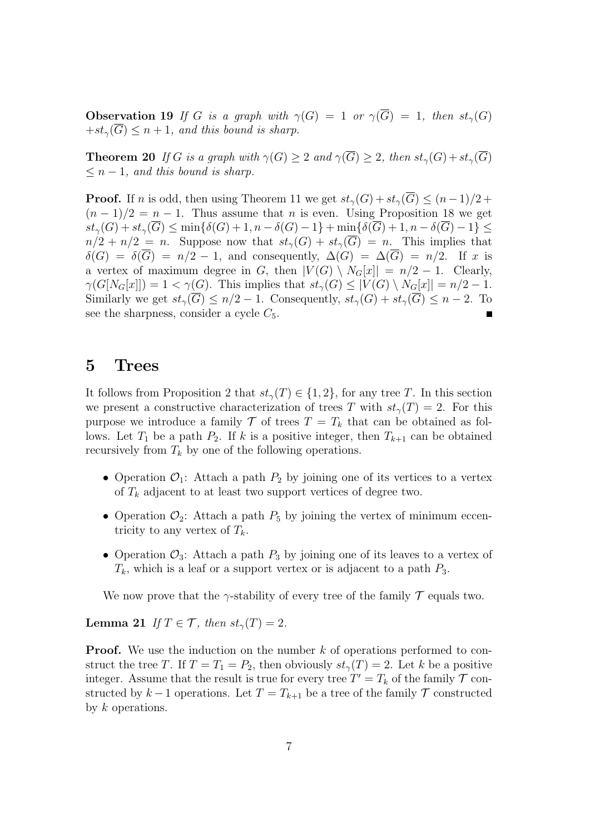**Observation 19** If *G* is a graph with  $\gamma(G) = 1$  or  $\gamma(\overline{G}) = 1$ , then  $st_{\gamma}(G)$  $+st_\gamma(\overline{G}) \leq n+1$ , and this bound is sharp.

**Theorem 20** *If G is a graph with*  $\gamma(G) \geq 2$  *and*  $\gamma(\overline{G}) \geq 2$ *, then*  $st_{\gamma}(G) + st_{\gamma}(\overline{G})$  $\leq n-1$ *, and this bound is sharp.* 

**Proof.** If *n* is odd, then using Theorem 11 we get  $st_\gamma(G) + st_\gamma(G) \leq (n-1)/2 +$  $(n-1)/2 = n-1$ . Thus assume that *n* is even. Using Proposition 18 we get  $st_{\gamma}(G) + st_{\gamma}(\overline{G}) \le \min\{\delta(G) + 1, n - \delta(G) - 1\} + \min\{\delta(\overline{G}) + 1, n - \delta(\overline{G}) - 1\}$  $n/2 + n/2 = n$ . Suppose now that  $st_\gamma(G) + st_\gamma(\overline{G}) = n$ . This implies that  $\delta(G) = \delta(\overline{G}) = n/2 - 1$ , and consequently,  $\Delta(G) = \Delta(\overline{G}) = n/2$ . If *x* is a vertex of maximum degree in *G*, then  $|V(G) \setminus N_G[x]| = n/2 - 1$ . Clearly,  $\gamma(G[N_G[x]]) = 1 < \gamma(G)$ . This implies that  $st_\gamma(G) \leq |V(G) \setminus N_G[x]| = n/2 - 1$ . Similarly we get  $st_\gamma(\overline{G}) \leq n/2 - 1$ . Consequently,  $st_\gamma(G) + st_\gamma(\overline{G}) \leq n - 2$ . To see the sharpness, consider a cycle  $C_5$ .

## **5 Trees**

It follows from Proposition 2 that  $st_\gamma(T) \in \{1,2\}$ , for any tree *T*. In this section we present a constructive characterization of trees *T* with  $st_{\gamma}(T) = 2$ . For this purpose we introduce a family  $\mathcal T$  of trees  $T = T_k$  that can be obtained as follows. Let  $T_1$  be a path  $P_2$ . If  $k$  is a positive integer, then  $T_{k+1}$  can be obtained recursively from  $T_k$  by one of the following operations.

- Operation  $\mathcal{O}_1$ : Attach a path  $P_2$  by joining one of its vertices to a vertex of *T<sup>k</sup>* adjacent to at least two support vertices of degree two.
- Operation  $\mathcal{O}_2$ : Attach a path  $P_5$  by joining the vertex of minimum eccentricity to any vertex of  $T_k$ .
- Operation  $\mathcal{O}_3$ : Attach a path  $P_3$  by joining one of its leaves to a vertex of  $T_k$ , which is a leaf or a support vertex or is adjacent to a path  $P_3$ .

We now prove that the  $\gamma$ -stability of every tree of the family  $\mathcal T$  equals two.

**Lemma 21** *If*  $T \in \mathcal{T}$ *, then*  $st_{\gamma}(T) = 2$ *.* 

**Proof.** We use the induction on the number k of operations performed to construct the tree *T*. If  $T = T_1 = P_2$ , then obviously  $st_\gamma(T) = 2$ . Let *k* be a positive integer. Assume that the result is true for every tree  $T' = T_k$  of the family  $\mathcal T$  constructed by  $k-1$  operations. Let  $T = T_{k+1}$  be a tree of the family  $\mathcal T$  constructed by *k* operations.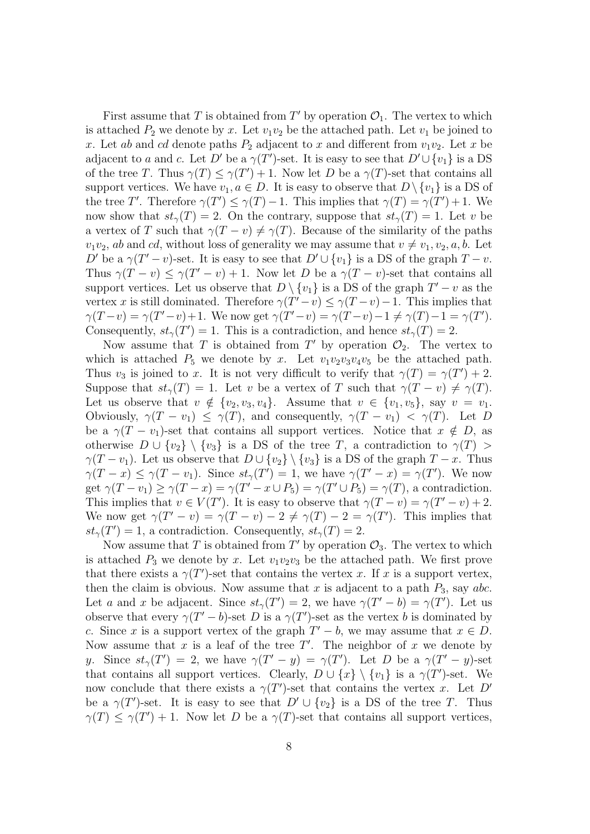First assume that *T* is obtained from  $T'$  by operation  $\mathcal{O}_1$ . The vertex to which is attached  $P_2$  we denote by x. Let  $v_1v_2$  be the attached path. Let  $v_1$  be joined to *x*. Let *ab* and *cd* denote paths  $P_2$  adjacent to *x* and different from  $v_1v_2$ . Let *x* be adjacent to *a* and *c*. Let *D'* be a  $\gamma(T')$ -set. It is easy to see that  $D' \cup \{v_1\}$  is a DS of the tree *T*. Thus  $\gamma(T) \leq \gamma(T') + 1$ . Now let *D* be a  $\gamma(T)$ -set that contains all support vertices. We have  $v_1, a \in D$ . It is easy to observe that  $D \setminus \{v_1\}$  is a DS of the tree *T'*. Therefore  $\gamma(T') \leq \gamma(T) - 1$ . This implies that  $\gamma(T) = \gamma(T') + 1$ . We now show that  $st_\gamma(T) = 2$ . On the contrary, suppose that  $st_\gamma(T) = 1$ . Let *v* be a vertex of *T* such that  $\gamma(T - v) \neq \gamma(T)$ . Because of the similarity of the paths  $v_1v_2$ , *ab* and *cd*, without loss of generality we may assume that  $v \neq v_1, v_2, a, b$ . Let *D*<sup> $\prime$ </sup> be a  $\gamma(T'-v)$ -set. It is easy to see that  $D' \cup \{v_1\}$  is a DS of the graph  $T-v$ . Thus  $\gamma(T - v) \leq \gamma(T' - v) + 1$ . Now let *D* be a  $\gamma(T - v)$ -set that contains all support vertices. Let us observe that  $D \setminus \{v_1\}$  is a DS of the graph  $T' - v$  as the vertex *x* is still dominated. Therefore  $\gamma(T'-v) \leq \gamma(T-v) - 1$ . This implies that  $\gamma(T-v) = \gamma(T'-v) + 1$ . We now get  $\gamma(T'-v) = \gamma(T-v) - 1 \neq \gamma(T) - 1 = \gamma(T')$ . Consequently,  $st_{\gamma}(T') = 1$ . This is a contradiction, and hence  $st_{\gamma}(T) = 2$ .

Now assume that *T* is obtained from *T'* by operation  $\mathcal{O}_2$ . The vertex to which is attached  $P_5$  we denote by *x*. Let  $v_1v_2v_3v_4v_5$  be the attached path. Thus  $v_3$  is joined to *x*. It is not very difficult to verify that  $\gamma(T) = \gamma(T') + 2$ . Suppose that  $st_\gamma(T) = 1$ . Let *v* be a vertex of *T* such that  $\gamma(T - v) \neq \gamma(T)$ . Let us observe that  $v \notin \{v_2, v_3, v_4\}$ . Assume that  $v \in \{v_1, v_5\}$ , say  $v = v_1$ . Obviously,  $\gamma(T - v_1) \leq \gamma(T)$ , and consequently,  $\gamma(T - v_1) < \gamma(T)$ . Let *D* be a  $\gamma(T - v_1)$ -set that contains all support vertices. Notice that  $x \notin D$ , as otherwise  $D \cup \{v_2\} \setminus \{v_3\}$  is a DS of the tree *T*, a contradiction to  $\gamma(T)$ *γ*(*T − v*<sub>1</sub>). Let us observe that  $D \cup \{v_2\} \setminus \{v_3\}$  is a DS of the graph  $T - x$ . Thus  $\gamma(T-x) \leq \gamma(T-v_1)$ . Since  $st_{\gamma}(T') = 1$ , we have  $\gamma(T'-x) = \gamma(T')$ . We now get  $\gamma(T - v_1) \ge \gamma(T - x) = \gamma(T' - x \cup P_5) = \gamma(T' \cup P_5) = \gamma(T)$ , a contradiction. This implies that  $v \in V(T')$ . It is easy to observe that  $\gamma(T - v) = \gamma(T' - v) + 2$ . We now get  $\gamma(T - v) = \gamma(T - v) - 2 \neq \gamma(T) - 2 = \gamma(T')$ . This implies that  $st_{\gamma}(T') = 1$ , a contradiction. Consequently,  $st_{\gamma}(T) = 2$ .

Now assume that *T* is obtained from  $T'$  by operation  $\mathcal{O}_3$ . The vertex to which is attached  $P_3$  we denote by *x*. Let  $v_1v_2v_3$  be the attached path. We first prove that there exists a  $\gamma(T')$ -set that contains the vertex *x*. If *x* is a support vertex, then the claim is obvious. Now assume that *x* is adjacent to a path *P*3, say *abc*. Let *a* and *x* be adjacent. Since  $st_{\gamma}(T') = 2$ , we have  $\gamma(T' - b) = \gamma(T')$ . Let us observe that every  $\gamma(T'-b)$ -set *D* is a  $\gamma(T')$ -set as the vertex *b* is dominated by *c*. Since *x* is a support vertex of the graph  $T' - b$ , we may assume that  $x \in D$ . Now assume that *x* is a leaf of the tree *T ′* . The neighbor of *x* we denote by *y*. Since  $st_{\gamma}(T') = 2$ , we have  $\gamma(T'-y) = \gamma(T')$ . Let *D* be a  $\gamma(T'-y)$ -set that contains all support vertices. Clearly,  $D \cup \{x\} \setminus \{v_1\}$  is a  $\gamma(T')$ -set. We now conclude that there exists a  $\gamma(T')$ -set that contains the vertex *x*. Let *D'* be a  $\gamma(T')$ -set. It is easy to see that  $D' \cup \{v_2\}$  is a DS of the tree *T*. Thus  $\gamma(T) \leq \gamma(T') + 1$ . Now let *D* be a  $\gamma(T)$ -set that contains all support vertices,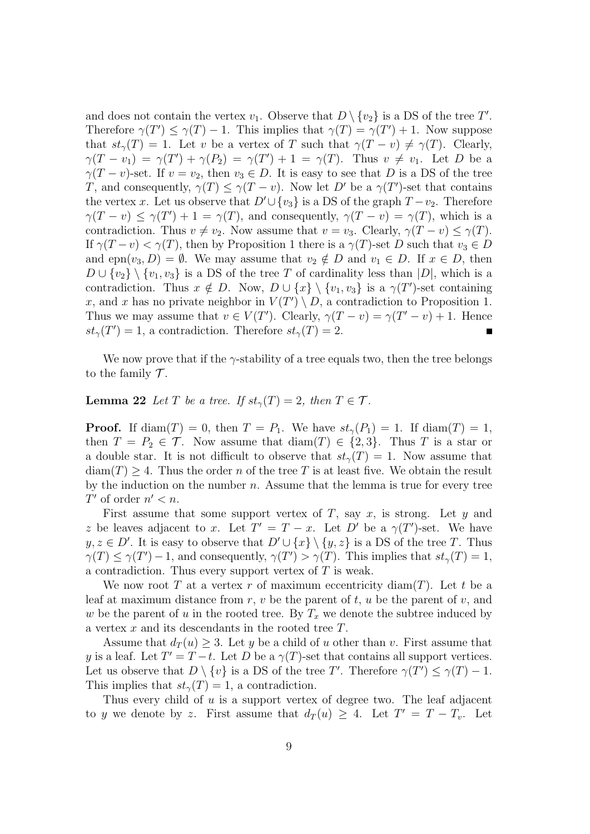and does not contain the vertex  $v_1$ . Observe that  $D \setminus \{v_2\}$  is a DS of the tree  $T'$ . Therefore  $\gamma(T') \leq \gamma(T) - 1$ . This implies that  $\gamma(T) = \gamma(T') + 1$ . Now suppose that  $st_\gamma(T) = 1$ . Let *v* be a vertex of *T* such that  $\gamma(T - v) \neq \gamma(T)$ . Clearly,  $\gamma(T - v_1) = \gamma(T') + \gamma(P_2) = \gamma(T') + 1 = \gamma(T)$ . Thus  $v \neq v_1$ . Let *D* be a *γ*(*T − v*)-set. If *v* = *v*<sub>2</sub>, then *v*<sub>3</sub>  $\in$  *D*. It is easy to see that *D* is a DS of the tree *T*, and consequently,  $\gamma(T) \leq \gamma(T - v)$ . Now let *D'* be a  $\gamma(T')$ -set that contains the vertex *x*. Let us observe that  $D' \cup \{v_3\}$  is a DS of the graph  $T - v_2$ . Therefore  $\gamma(T - v) \leq \gamma(T') + 1 = \gamma(T)$ , and consequently,  $\gamma(T - v) = \gamma(T)$ , which is a contradiction. Thus  $v \neq v_2$ . Now assume that  $v = v_3$ . Clearly,  $\gamma(T - v) \leq \gamma(T)$ . If  $\gamma(T - v) < \gamma(T)$ , then by Proposition 1 there is a  $\gamma(T)$ -set *D* such that  $v_3 \in D$ and  $e^{p_1}(v_3, D) = \emptyset$ . We may assume that  $v_2 \notin D$  and  $v_1 \in D$ . If  $x \in D$ , then *D* ∪  $\{v_2\}$   $\setminus \{v_1, v_3\}$  is a DS of the tree *T* of cardinality less than  $|D|$ , which is a contradiction. Thus  $x \notin D$ . Now,  $D \cup \{x\} \setminus \{v_1, v_3\}$  is a  $\gamma(T')$ -set containing *x*, and *x* has no private neighbor in  $V(T') \setminus D$ , a contradiction to Proposition 1. Thus we may assume that  $v \in V(T')$ . Clearly,  $\gamma(T - v) = \gamma(T' - v) + 1$ . Hence  $st_{\gamma}(T') = 1$ , a contradiction. Therefore  $st_{\gamma}(T) = 2$ .

We now prove that if the  $\gamma$ -stability of a tree equals two, then the tree belongs to the family  $\mathcal T$ .

#### **Lemma 22** *Let T be a tree. If*  $st_{\gamma}(T) = 2$ *, then*  $T \in \mathcal{T}$ *.*

**Proof.** If  $\text{diam}(T) = 0$ , then  $T = P_1$ . We have  $st_{\gamma}(P_1) = 1$ . If  $\text{diam}(T) = 1$ , then  $T = P_2 \in \mathcal{T}$ . Now assume that  $\text{diam}(T) \in \{2, 3\}$ . Thus *T* is a star or a double star. It is not difficult to observe that  $st_\gamma(T) = 1$ . Now assume that  $diam(T) \geq 4$ . Thus the order *n* of the tree *T* is at least five. We obtain the result by the induction on the number *n*. Assume that the lemma is true for every tree *T*<sup> $\prime$ </sup> of order  $n' < n$ .

First assume that some support vertex of *T*, say *x*, is strong. Let *y* and *z* be leaves adjacent to *x*. Let  $T' = T - x$ . Let  $D'$  be a  $\gamma(T')$ -set. We have *y, z* ∈ *D'*. It is easy to observe that  $D' ∪ \{x\} \setminus \{y, z\}$  is a DS of the tree *T*. Thus  $\gamma(T) \leq \gamma(T') - 1$ , and consequently,  $\gamma(T') > \gamma(T)$ . This implies that  $st_{\gamma}(T) = 1$ , a contradiction. Thus every support vertex of *T* is weak.

We now root *T* at a vertex *r* of maximum eccentricity diam(*T*). Let *t* be a leaf at maximum distance from  $r$ ,  $v$  be the parent of  $t$ ,  $u$  be the parent of  $v$ , and *w* be the parent of *u* in the rooted tree. By  $T_x$  we denote the subtree induced by a vertex *x* and its descendants in the rooted tree *T*.

Assume that  $d_T(u) \geq 3$ . Let *y* be a child of *u* other than *v*. First assume that *y* is a leaf. Let  $T' = T - t$ . Let *D* be a  $\gamma(T)$ -set that contains all support vertices. Let us observe that  $D \setminus \{v\}$  is a DS of the tree *T'*. Therefore  $\gamma(T') \leq \gamma(T) - 1$ . This implies that  $st_\gamma(T) = 1$ , a contradiction.

Thus every child of *u* is a support vertex of degree two. The leaf adjacent to *y* we denote by *z*. First assume that  $d_T(u) \geq 4$ . Let  $T' = T - T_v$ . Let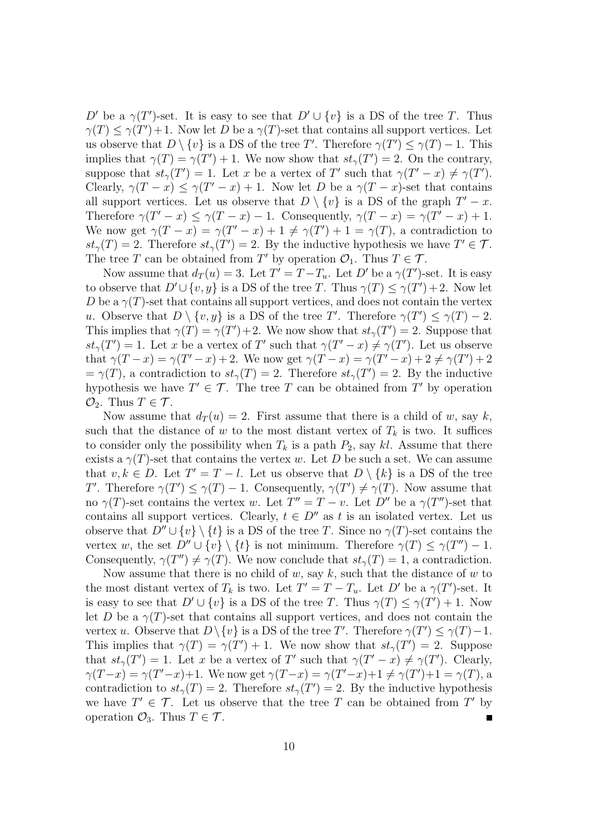*D*<sup> $\prime$ </sup> be a *γ*(*T*<sup> $\prime$ </sup>)-set. It is easy to see that  $D' \cup \{v\}$  is a DS of the tree *T*. Thus  $\gamma(T) \leq \gamma(T') + 1$ . Now let *D* be a  $\gamma(T)$ -set that contains all support vertices. Let us observe that  $D \setminus \{v\}$  is a DS of the tree *T'*. Therefore  $\gamma(T') \leq \gamma(T) - 1$ . This implies that  $\gamma(T) = \gamma(T') + 1$ . We now show that  $st_{\gamma}(T') = 2$ . On the contrary, suppose that  $st_{\gamma}(T') = 1$ . Let *x* be a vertex of *T'* such that  $\gamma(T' - x) \neq \gamma(T')$ . Clearly,  $\gamma(T - x) \leq \gamma(T' - x) + 1$ . Now let *D* be a  $\gamma(T - x)$ -set that contains all support vertices. Let us observe that  $D \setminus \{v\}$  is a DS of the graph  $T' - x$ . Therefore  $\gamma(T - x) \leq \gamma(T - x) - 1$ . Consequently,  $\gamma(T - x) = \gamma(T' - x) + 1$ . We now get  $\gamma(T-x) = \gamma(T'-x) + 1 \neq \gamma(T') + 1 = \gamma(T)$ , a contradiction to  $st_{\gamma}(T) = 2$ . Therefore  $st_{\gamma}(T') = 2$ . By the inductive hypothesis we have  $T' \in \mathcal{T}$ . The tree *T* can be obtained from *T'* by operation  $\mathcal{O}_1$ . Thus  $T \in \mathcal{T}$ .

Now assume that  $d_T(u) = 3$ . Let  $T' = T - T_u$ . Let  $D'$  be a  $\gamma(T')$ -set. It is easy to observe that  $D' \cup \{v, y\}$  is a DS of the tree *T*. Thus  $\gamma(T) \leq \gamma(T') + 2$ . Now let *D* be a  $\gamma(T)$ -set that contains all support vertices, and does not contain the vertex *u*. Observe that  $D \setminus \{v, y\}$  is a DS of the tree *T'*. Therefore  $\gamma(T') \leq \gamma(T) - 2$ . This implies that  $\gamma(T) = \gamma(T') + 2$ . We now show that  $st_{\gamma}(T') = 2$ . Suppose that  $st_{\gamma}(T') = 1$ . Let *x* be a vertex of *T*' such that  $\gamma(T'-x) \neq \gamma(T')$ . Let us observe that  $\gamma(T-x) = \gamma(T'-x) + 2$ . We now get  $\gamma(T-x) = \gamma(T'-x) + 2 \neq \gamma(T') + 2$  $=\gamma(T)$ , a contradiction to  $st_{\gamma}(T) = 2$ . Therefore  $st_{\gamma}(T') = 2$ . By the inductive hypothesis we have  $T' \in \mathcal{T}$ . The tree *T* can be obtained from *T'* by operation  $\mathcal{O}_2$ . Thus  $T \in \mathcal{T}$ .

Now assume that  $d_T(u) = 2$ . First assume that there is a child of *w*, say *k*, such that the distance of *w* to the most distant vertex of  $T_k$  is two. It suffices to consider only the possibility when  $T_k$  is a path  $P_2$ , say *kl*. Assume that there exists a  $\gamma(T)$ -set that contains the vertex *w*. Let *D* be such a set. We can assume that  $v, k \in D$ . Let  $T' = T - l$ . Let us observe that  $D \setminus \{k\}$  is a DS of the tree *T*<sup>*′*</sup>. Therefore  $\gamma(T') \leq \gamma(T) - 1$ . Consequently,  $\gamma(T') \neq \gamma(T)$ . Now assume that no  $\gamma(T)$ -set contains the vertex *w*. Let  $T'' = T - v$ . Let  $D''$  be a  $\gamma(T'')$ -set that contains all support vertices. Clearly,  $t \in D''$  as  $t$  is an isolated vertex. Let us observe that  $D'' \cup \{v\} \setminus \{t\}$  is a DS of the tree *T*. Since no  $\gamma(T)$ -set contains the vertex *w*, the set  $D'' \cup \{v\} \setminus \{t\}$  is not minimum. Therefore  $\gamma(T) \leq \gamma(T'') - 1$ . Consequently,  $\gamma(T'') \neq \gamma(T)$ . We now conclude that  $st_{\gamma}(T) = 1$ , a contradiction.

Now assume that there is no child of *w*, say *k*, such that the distance of *w* to the most distant vertex of  $T_k$  is two. Let  $T' = T - T_u$ . Let  $D'$  be a  $\gamma(T')$ -set. It is easy to see that  $D' \cup \{v\}$  is a DS of the tree *T*. Thus  $\gamma(T) \leq \gamma(T') + 1$ . Now let *D* be a  $\gamma(T)$ -set that contains all support vertices, and does not contain the vertex *u*. Observe that  $D \setminus \{v\}$  is a DS of the tree *T'*. Therefore  $\gamma(T') \leq \gamma(T) - 1$ . This implies that  $\gamma(T) = \gamma(T') + 1$ . We now show that  $st_{\gamma}(T') = 2$ . Suppose that  $st_{\gamma}(T') = 1$ . Let *x* be a vertex of *T'* such that  $\gamma(T'-x) \neq \gamma(T')$ . Clearly,  $\gamma(T-x) = \gamma(T'-x)+1$ . We now get  $\gamma(T-x) = \gamma(T'-x)+1 \neq \gamma(T')+1 = \gamma(T)$ , a contradiction to  $st_\gamma(T) = 2$ . Therefore  $st_\gamma(T') = 2$ . By the inductive hypothesis we have  $T' \in \mathcal{T}$ . Let us observe that the tree  $T$  can be obtained from  $T'$  by operation  $\mathcal{O}_3$ . Thus  $T \in \mathcal{T}$ .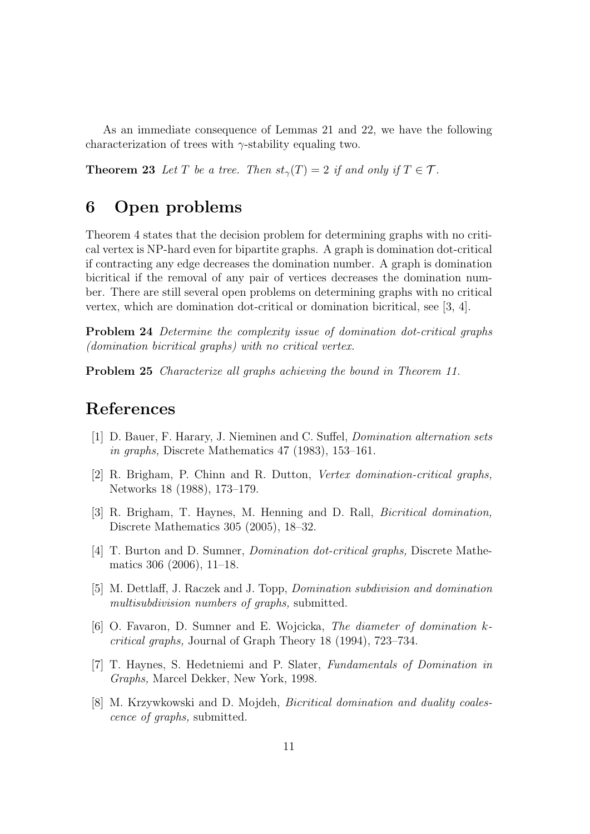As an immediate consequence of Lemmas 21 and 22, we have the following characterization of trees with *γ*-stability equaling two.

**Theorem 23** *Let T be a tree. Then*  $st_{\gamma}(T) = 2$  *if and only if*  $T \in \mathcal{T}$ *.* 

## **6 Open problems**

Theorem 4 states that the decision problem for determining graphs with no critical vertex is NP-hard even for bipartite graphs. A graph is domination dot-critical if contracting any edge decreases the domination number. A graph is domination bicritical if the removal of any pair of vertices decreases the domination number. There are still several open problems on determining graphs with no critical vertex, which are domination dot-critical or domination bicritical, see [3, 4].

**Problem 24** *Determine the complexity issue of domination dot-critical graphs (domination bicritical graphs) with no critical vertex.*

**Problem 25** *Characterize all graphs achieving the bound in Theorem 11.*

## **References**

- [1] D. Bauer, F. Harary, J. Nieminen and C. Suffel, *Domination alternation sets in graphs,* Discrete Mathematics 47 (1983), 153–161.
- [2] R. Brigham, P. Chinn and R. Dutton, *Vertex domination-critical graphs,* Networks 18 (1988), 173–179.
- [3] R. Brigham, T. Haynes, M. Henning and D. Rall, *Bicritical domination,* Discrete Mathematics 305 (2005), 18–32.
- [4] T. Burton and D. Sumner, *Domination dot-critical graphs,* Discrete Mathematics 306 (2006), 11–18.
- [5] M. Dettlaff, J. Raczek and J. Topp, *Domination subdivision and domination multisubdivision numbers of graphs,* submitted.
- [6] O. Favaron, D. Sumner and E. Wojcicka, *The diameter of domination kcritical graphs,* Journal of Graph Theory 18 (1994), 723–734.
- [7] T. Haynes, S. Hedetniemi and P. Slater, *Fundamentals of Domination in Graphs,* Marcel Dekker, New York, 1998.
- [8] M. Krzywkowski and D. Mojdeh, *Bicritical domination and duality coalescence of graphs,* submitted.